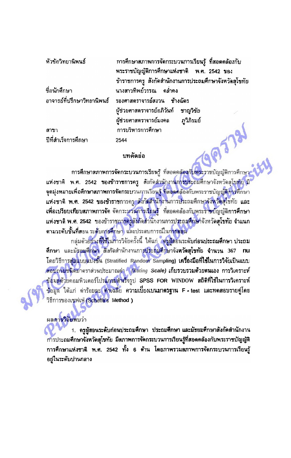| หัวข้อวิทยานิพนธ์   | การศึกษาสภาพการจัดกระบวนการเรียนรู้ ที่สอดคล้องกับ      |
|---------------------|---------------------------------------------------------|
|                     | พระราชบัญญัติการศึกษาแห่งชาติ พ.ศ. 2542 ของ             |
|                     | ข้าราชการครู สังกัดสำนักงานการประถมศึกษาจังหวัดสุโขทัย  |
| ชื่อนักศึกษา        | นางสาวทีพย์วรรณ คล่ำคง                                  |
|                     | อาจารย์ที่ปรึกษาวิทยานิพนธ์ รองศาสตราจารย์สงวน ข้างฉัตร |
|                     | นู้ช่วยศาสตราจารย์อภิวันท์ ชาญวิชัย                     |
|                     | ผู้ช่วยศาสตราจารย์มงคล ภูวิภิรมย์                       |
| สาขา                | การบริหารการศึกษา                                       |
| ปีที่สำเร็จการศึกษา | 2544                                                    |

## บทคัดย่อ

การศึกษาสภาพการจัดกระบวนการเรียนรู้ ที่สอดคล้<mark>องกับพระราชบัญญัติการศึกษา</mark> แห่งชาติ พ.ศ. 2542 ของข้าราชการครู สังกัดลำนักงานการประถมศึกษาจังหวัดสุโขทัย มี จุดมุ่งหมายเพื่อศึกษาสภาพการจัดกระบวนการเรียนรู้ ที่สอดคล้องกับพระราชบัญญัติการศึกษา ู้แห่งชาติ พ.ศ. 2542 ของข้าราชการครู สังกัดสำนักงานการประถมศึกษาจังหวัดสุโขทัย และ เพื่อเปรียบเทียบสภาพการจัด จัดกระบวนการเรียนรู้ ที่สอดคล้องกับพระราชบัญญัติการศึกษา แห่งชาติ พ.ศ. 2542 ของข้าราชการครูสังภัตถ่านักงานการประถมศึกษาจังหวัดสุโขทัย จำแนก ตามระดับชั้นที่สอน ระดับการศึกษา และประสบการณ์ในการลอน

ึกลุ่มตัวอย่าง**ที่ใช้ใ**นการวิจัยครั้งนี้ ใต้แก่ ครูผู้สอนระดับก่อนประถมศึกษา ประถม ศึกษา และมัธยมศึกษา สังกัดลำนักงานการประถมศึกษาจัง**หวัดสุโขทัย จำนวน** 367 nu โดยวิธีการสุ่มแบบแบ่งชั้น (Stratified Random Sampling) เครื่องมือที่ใช้ในการวิจัยเป็นแบบ สอบถามชนิดมาตราส่วนประมาณค่า (Rating Scale) เก็บรวบรวมด้วยตนเอง การวิเคราะห์ ข้อมูลด้วยคอมพิวเตอร์โปรแกรมสำเร็จรูป SPSS FOR WINDOW สถิติที่ใช้ในการวิเคราะห์ ข้อมูล ได้แก่ ค่าร้อยละ ค่าเฉลี่ย ความเบี่ยงเบนมาตรฐาน F -test และทดสอบรายคู่โดย วิธีการของเชฟเฟ่ (Scheffe's Method )

## ผลภารวิจัยพบว่า

1. ครูผู้สอนระดับก่อนประถมศึกษา ประถมศึกษา และมัธยมศึกษาสังกัดสำนักงาน การประถมศึกษาจังหวัดสุโขทัย มีสภาพการจัดกระบวนการเรียนรู้ที่สอดคล้องกับพระราชบัญญัติ การศึกษาแห่งชาติ พ.ศ. 2542 ทั้ง 6 ต้าน โดยภาพรวมสภาพการจัดกระบวนการเรียนรู้ อยู่ในระดับปานกลาง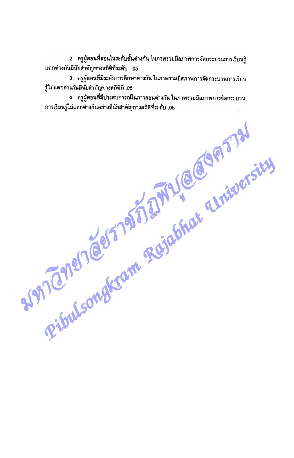2. ครูผู้สอนที่สอนในระดับชั้นต่างกัน ในภาพรวมมีสภาพการจัดกระบวนการเรียนรู้ แตกต่างกันมีนับสำคัญทางสถิติที่ระดับ .05

3. ครูผู้สอนที่มีระดับการศึกษาต่างกัน ในภาพรวมมีสภาพการจัดกระบวนการเรียน รู้ไม่แตกต่างกันมีนัยสำคัญทางสถิติที่ .05

REFERENCES TO THE REGION OF THE COMMON STATES 4. ครูผู้สอนที่มีประสบการณ์ในการสอนต่างกัน ในภาพรวมมีสภาพการจัดกระบวน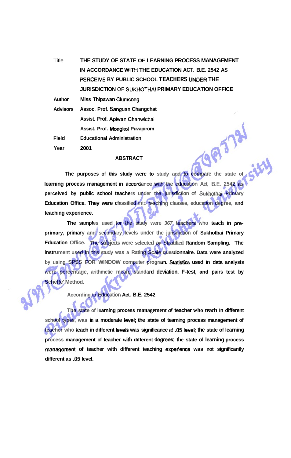Title **THE STUDY OF STATE OF LEARNING PROCESS MANAGEMENT IN ACCORDANCE WITH THE EDUCATION ACT. B.E. 2542 AS PERCE1VE BY PUBLIC SCHOOL TEACHERS UNDER THE JURISDICTION** OF SUKHOTHAI **PRIMARY EDUCATION OFFICE** 

**Author Miss Thipawan Clumcong** 

**Advisors Assoc. Prof. Sanguan Changchat Assist. Prof. Apiwan Chanwichai Assist. Prof. Mongkol Puwipirom Field Educational Administration Year 2001** 

## **ABSTRACT**

**The purposes of this study were to study and to compare the state of learning process management in accordance with the education Act, B.E. 2542 as perceived by public school teachers under the jurisdiction of Sukhothai Primary Education Office. They were classified** into **toaching classes, education degree, and teaching experience.** 

685

**The samples used for the study were 367 teachers who teach in preprimary, primary and secondary levels under the jurisdiction of Sukhotbai Primary Education Office. The subjects were selected by Stratified Random Sampling. The instrument used in this study was a Rating Scale questionnaire. Data were analyzed by using SPSS FOR WINDOW computer program. Statistics used in data analysis were percentage, arithmetic mean, standard deviation, F-test, and pairs test by Scheffe' Method.** 

**According to Education Act. B.E. 2542** 

**The state of learning process management of teacher who teach in different**  school types, was in a moderate level; the state of teaming process management of **teacher who teach in different levels was significance at .05 level; the state of learning process management of teacher with different degrees; the state of learning process**  management of teacher with different teaching experience was not significantly **different as -05 level.**